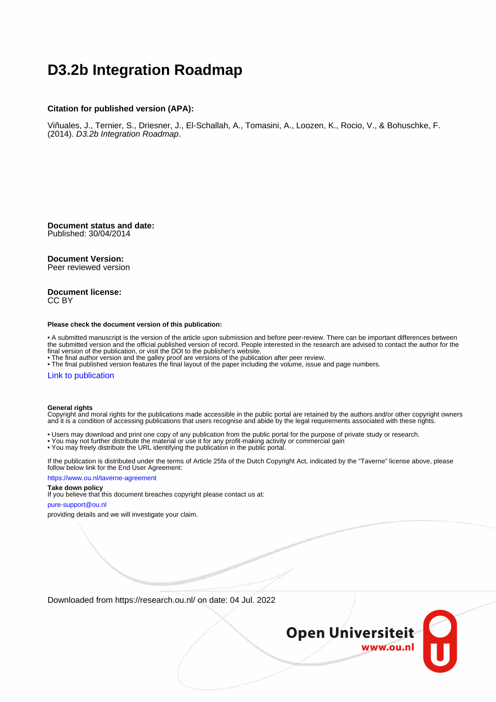# **D3.2b Integration Roadmap**

#### **Citation for published version (APA):**

Viñuales, J., Ternier, S., Driesner, J., El-Schallah, A., Tomasini, A., Loozen, K., Rocio, V., & Bohuschke, F. (2014). D3.2b Integration Roadmap.

**Document status and date:** Published: 30/04/2014

#### **Document Version:**

Peer reviewed version

#### **Document license:** CC BY

#### **Please check the document version of this publication:**

• A submitted manuscript is the version of the article upon submission and before peer-review. There can be important differences between the submitted version and the official published version of record. People interested in the research are advised to contact the author for the final version of the publication, or visit the DOI to the publisher's website.

• The final author version and the galley proof are versions of the publication after peer review.

• The final published version features the final layout of the paper including the volume, issue and page numbers.

#### [Link to publication](https://research.ou.nl/en/publications/93a33da9-a874-4cd2-afe8-0023d3dfa31d)

#### **General rights**

Copyright and moral rights for the publications made accessible in the public portal are retained by the authors and/or other copyright owners and it is a condition of accessing publications that users recognise and abide by the legal requirements associated with these rights.

- Users may download and print one copy of any publication from the public portal for the purpose of private study or research.
- You may not further distribute the material or use it for any profit-making activity or commercial gain
- You may freely distribute the URL identifying the publication in the public portal.

If the publication is distributed under the terms of Article 25fa of the Dutch Copyright Act, indicated by the "Taverne" license above, please follow below link for the End User Agreement:

#### https://www.ou.nl/taverne-agreement

#### **Take down policy**

If you believe that this document breaches copyright please contact us at:

#### pure-support@ou.nl

providing details and we will investigate your claim.

Downloaded from https://research.ou.nl/ on date: 04 Jul. 2022

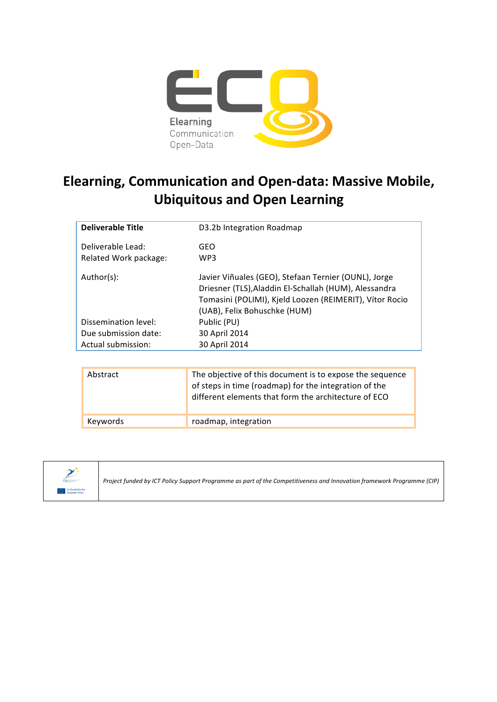

# **Elearning, Communication and Open-data: Massive Mobile, Ubiquitous and Open Learning**

| <b>Deliverable Title</b> | D3.2b Integration Roadmap                                                                                                                                                                                |
|--------------------------|----------------------------------------------------------------------------------------------------------------------------------------------------------------------------------------------------------|
| Deliverable Lead:        | GEO                                                                                                                                                                                                      |
| Related Work package:    | WP3                                                                                                                                                                                                      |
| Author(s):               | Javier Viñuales (GEO), Stefaan Ternier (OUNL), Jorge<br>Driesner (TLS), Aladdin El-Schallah (HUM), Alessandra<br>Tomasini (POLIMI), Kjeld Loozen (REIMERIT), Vítor Rocio<br>(UAB), Felix Bohuschke (HUM) |
| Dissemination level:     | Public (PU)                                                                                                                                                                                              |
| Due submission date:     | 30 April 2014                                                                                                                                                                                            |
| Actual submission:       | 30 April 2014                                                                                                                                                                                            |
|                          |                                                                                                                                                                                                          |
| Abstract                 | The objective of this document is to expose the sequence                                                                                                                                                 |

| Abstract | The objective of this document is to expose the sequence<br>of steps in time (roadmap) for the integration of the<br>different elements that form the architecture of ECO |
|----------|---------------------------------------------------------------------------------------------------------------------------------------------------------------------------|
| Keywords | roadmap, integration                                                                                                                                                      |



*Project funded by ICT Policy Support Programme as part of the Competitiveness and Innovation framework Programme (CIP)*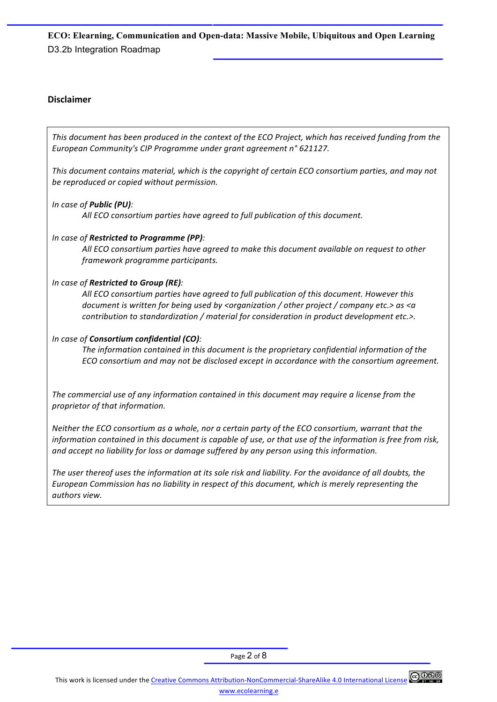## **Disclaimer**

This document has been produced in the context of the ECO Project, which has received funding from the European Community's CIP Programme under grant agreement n° 621127.

This document contains material, which is the copyright of certain ECO consortium parties, and may not be reproduced or copied without permission.

### *In case of Public (PU):*

All ECO consortium parties have agreed to full publication of this document.

## *In case of Restricted to Programme (PP):*

All ECO consortium parties have agreed to make this document available on request to other *framework programme participants.* 

### *In case of Restricted to Group (RE):*

All ECO consortium parties have agreed to full publication of this document. However this *document is written for being used by <organization* / other project / company etc.> as <a *contribution to standardization* / material for consideration in product development etc.>.

### *In case of Consortium confidential (CO):*

The information contained in this document is the proprietary confidential information of the *ECO* consortium and may not be disclosed except in accordance with the consortium agreement.

The commercial use of any information contained in this document may require a license from the *proprietor of that information.* 

*Neither the ECO consortium as a whole, nor a certain party of the ECO consortium, warrant that the information contained in this document is capable of use, or that use of the information is free from risk,* and accept no liability for loss or damage suffered by any person using this information.

The user thereof uses the information at its sole risk and liability. For the avoidance of all doubts, the *European Commission has no liability in respect of this document, which is merely representing the authors view.*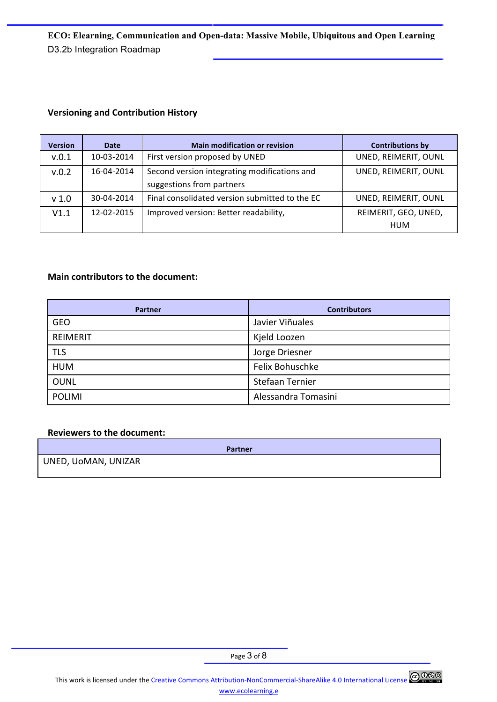## **Versioning and Contribution History**

| <b>Version</b>   | <b>Date</b> | <b>Main modification or revision</b>           | <b>Contributions by</b> |
|------------------|-------------|------------------------------------------------|-------------------------|
| v.0.1            | 10-03-2014  | First version proposed by UNED                 | UNED, REIMERIT, OUNL    |
| v.0.2            | 16-04-2014  | Second version integrating modifications and   | UNED, REIMERIT, OUNL    |
|                  |             | suggestions from partners                      |                         |
| v <sub>1.0</sub> | 30-04-2014  | Final consolidated version submitted to the EC | UNED, REIMERIT, OUNL    |
| V1.1             | 12-02-2015  | Improved version: Better readability,          | REIMERIT, GEO, UNED,    |
|                  |             |                                                | HUM                     |

## **Main contributors to the document:**

| Partner         | <b>Contributors</b> |
|-----------------|---------------------|
| <b>GEO</b>      | Javier Viñuales     |
| <b>REIMERIT</b> | Kjeld Loozen        |
| <b>TLS</b>      | Jorge Driesner      |
| <b>HUM</b>      | Felix Bohuschke     |
| <b>OUNL</b>     | Stefaan Ternier     |
| <b>POLIMI</b>   | Alessandra Tomasini |

#### **Reviewers to the document:**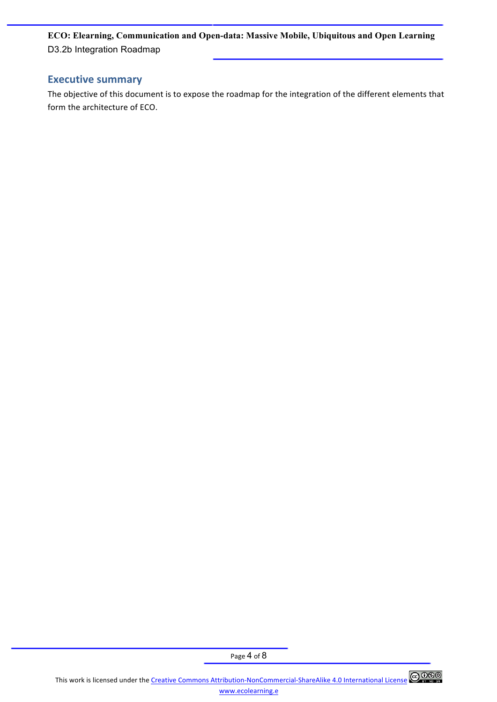# **Executive summary**

The objective of this document is to expose the roadmap for the integration of the different elements that form the architecture of ECO.

Page 4 of 8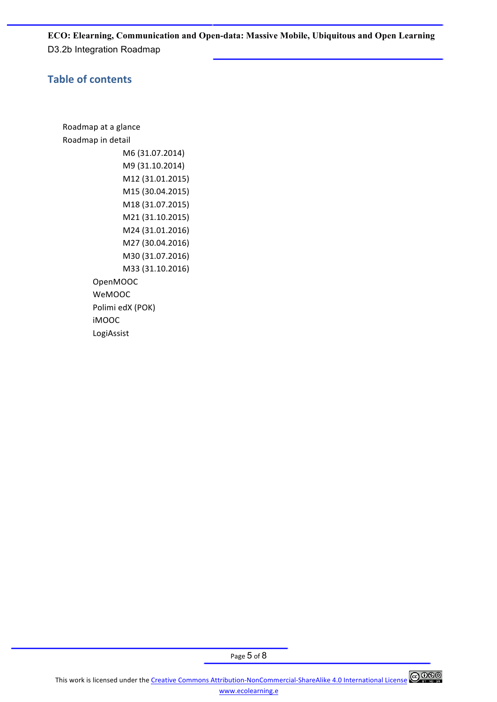# **Table of contents**

Roadmap at a glance Roadmap in detail M6 (31.07.2014) M9 (31.10.2014) M12 (31.01.2015) M15 (30.04.2015) M18 (31.07.2015) M21 (31.10.2015) M24 (31.01.2016) M27 (30.04.2016) M30 (31.07.2016) M33 (31.10.2016) OpenMOOC WeMOOC Polimi edX (POK) iMOOC LogiAssist

This work is licensed under the Creative Commons Attribution-NonCommercial-ShareAlike 4.0 International License @ 000 www.ecolearning.e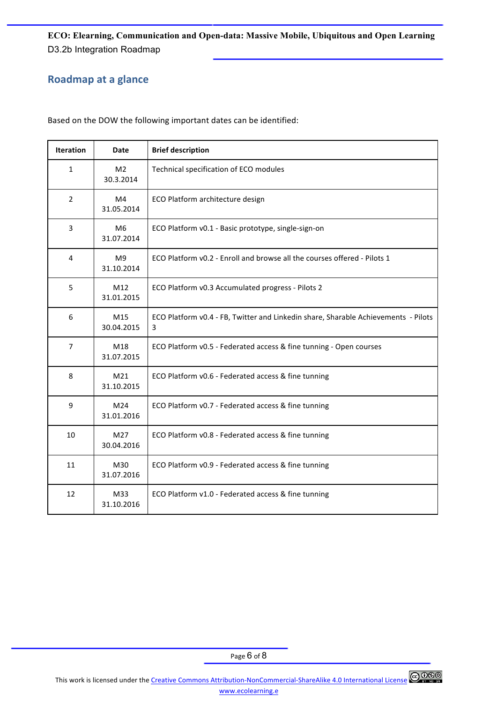# **Roadmap at a glance**

Based on the DOW the following important dates can be identified:

| <b>Iteration</b> | Date                          | <b>Brief description</b>                                                                |  |
|------------------|-------------------------------|-----------------------------------------------------------------------------------------|--|
| 1                | M <sub>2</sub><br>30.3.2014   | Technical specification of ECO modules                                                  |  |
| $\overline{2}$   | M4<br>31.05.2014              | ECO Platform architecture design                                                        |  |
| 3                | M <sub>6</sub><br>31.07.2014  | ECO Platform v0.1 - Basic prototype, single-sign-on                                     |  |
| 4                | M9<br>31.10.2014              | ECO Platform v0.2 - Enroll and browse all the courses offered - Pilots 1                |  |
| 5                | M12<br>31.01.2015             | ECO Platform v0.3 Accumulated progress - Pilots 2                                       |  |
| 6                | M15<br>30.04.2015             | ECO Platform v0.4 - FB, Twitter and Linkedin share, Sharable Achievements - Pilots<br>3 |  |
| $\overline{7}$   | M18<br>31.07.2015             | ECO Platform v0.5 - Federated access & fine tunning - Open courses                      |  |
| 8                | M <sub>21</sub><br>31.10.2015 | ECO Platform v0.6 - Federated access & fine tunning                                     |  |
| 9                | M24<br>31.01.2016             | ECO Platform v0.7 - Federated access & fine tunning                                     |  |
| 10               | M27<br>30.04.2016             | ECO Platform v0.8 - Federated access & fine tunning                                     |  |
| 11               | M30<br>31.07.2016             | ECO Platform v0.9 - Federated access & fine tunning                                     |  |
| 12               | M33<br>31.10.2016             | ECO Platform v1.0 - Federated access & fine tunning                                     |  |

Page 6 of 8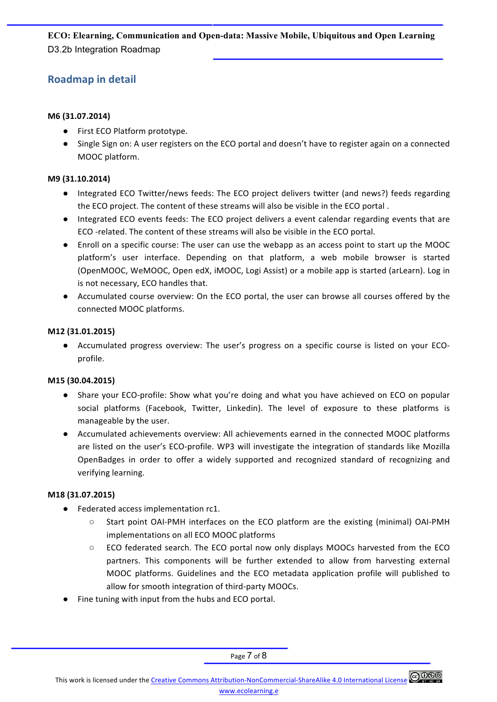# **Roadmap in detail**

## **M6 (31.07.2014)**

- First ECO Platform prototype.
- Single Sign on: A user registers on the ECO portal and doesn't have to register again on a connected MOOC platform.

### M9 (31.10.2014)

- Integrated ECO Twitter/news feeds: The ECO project delivers twitter (and news?) feeds regarding the ECO project. The content of these streams will also be visible in the ECO portal.
- Integrated ECO events feeds: The ECO project delivers a event calendar regarding events that are ECO -related. The content of these streams will also be visible in the ECO portal.
- Enroll on a specific course: The user can use the webapp as an access point to start up the MOOC platform's user interface. Depending on that platform, a web mobile browser is started (OpenMOOC, WeMOOC, Open edX, iMOOC, Logi Assist) or a mobile app is started (arLearn). Log in is not necessary, ECO handles that.
- Accumulated course overview: On the ECO portal, the user can browse all courses offered by the connected MOOC platforms.

### **M12 (31.01.2015)**

• Accumulated progress overview: The user's progress on a specific course is listed on your ECOprofile.

## **M15 (30.04.2015)**

- Share your ECO-profile: Show what you're doing and what you have achieved on ECO on popular social platforms (Facebook, Twitter, Linkedin). The level of exposure to these platforms is manageable by the user.
- Accumulated achievements overview: All achievements earned in the connected MOOC platforms are listed on the user's ECO-profile. WP3 will investigate the integration of standards like Mozilla OpenBadges in order to offer a widely supported and recognized standard of recognizing and verifying learning.

## **M18 (31.07.2015)**

- Federated access implementation rc1.
	- $\circ$  Start point OAI-PMH interfaces on the ECO platform are the existing (minimal) OAI-PMH implementations on all ECO MOOC platforms
	- $\circ$  ECO federated search. The ECO portal now only displays MOOCs harvested from the ECO partners. This components will be further extended to allow from harvesting external MOOC platforms. Guidelines and the ECO metadata application profile will published to allow for smooth integration of third-party MOOCs.
- Fine tuning with input from the hubs and ECO portal.

Page 7 of 8